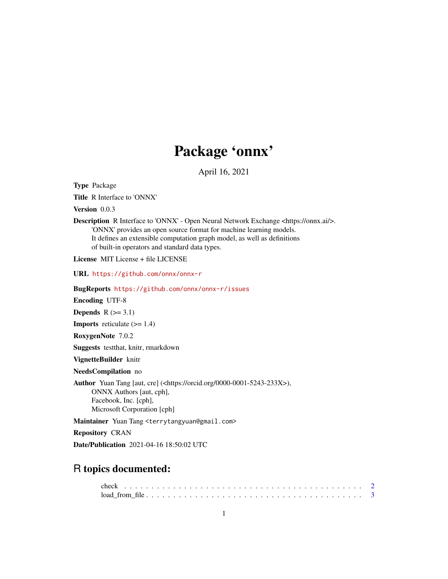## Package 'onnx'

April 16, 2021

Type Package

Title R Interface to 'ONNX'

Version 0.0.3

Description R Interface to 'ONNX' - Open Neural Network Exchange <https://onnx.ai/>. 'ONNX' provides an open source format for machine learning models. It defines an extensible computation graph model, as well as definitions of built-in operators and standard data types.

License MIT License + file LICENSE

URL <https://github.com/onnx/onnx-r>

BugReports <https://github.com/onnx/onnx-r/issues>

Encoding UTF-8

Depends  $R$  ( $>= 3.1$ )

**Imports** reticulate  $(>= 1.4)$ 

RoxygenNote 7.0.2

Suggests testthat, knitr, rmarkdown

VignetteBuilder knitr

NeedsCompilation no

Author Yuan Tang [aut, cre] (<https://orcid.org/0000-0001-5243-233X>), ONNX Authors [aut, cph], Facebook, Inc. [cph], Microsoft Corporation [cph]

Maintainer Yuan Tang <terrytangyuan@gmail.com>

Repository CRAN

Date/Publication 2021-04-16 18:50:02 UTC

### R topics documented: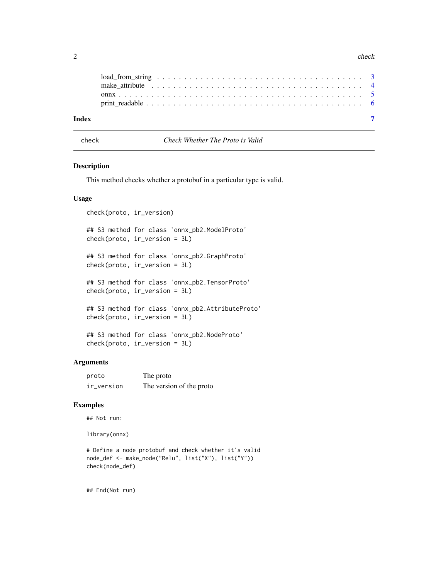#### <span id="page-1-0"></span>2 check and the check of the check of the check of the check of the check of the check of the check

| Index |  |
|-------|--|

check *Check Whether The Proto is Valid*

#### Description

This method checks whether a protobuf in a particular type is valid.

#### Usage

```
check(proto, ir_version)
## S3 method for class 'onnx_pb2.ModelProto'
check(proto, ir_version = 3L)
## S3 method for class 'onnx_pb2.GraphProto'
check(proto, ir_version = 3L)
## S3 method for class 'onnx_pb2.TensorProto'
check(proto, ir_version = 3L)
## S3 method for class 'onnx_pb2.AttributeProto'
check(proto, ir_version = 3L)
## S3 method for class 'onnx_pb2.NodeProto'
check(proto, ir_version = 3L)
```
#### Arguments

| proto      | The proto                |
|------------|--------------------------|
| ir_version | The version of the proto |

#### Examples

## Not run:

library(onnx)

```
# Define a node protobuf and check whether it's valid
node_def <- make_node("Relu", list("X"), list("Y"))
check(node_def)
```
## End(Not run)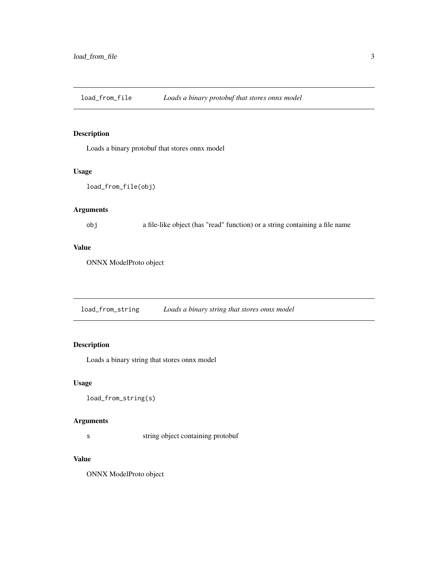<span id="page-2-0"></span>load\_from\_file *Loads a binary protobuf that stores onnx model*

#### Description

Loads a binary protobuf that stores onnx model

#### Usage

```
load_from_file(obj)
```
#### Arguments

obj a file-like object (has "read" function) or a string containing a file name

#### Value

ONNX ModelProto object

load\_from\_string *Loads a binary string that stores onnx model*

#### Description

Loads a binary string that stores onnx model

#### Usage

load\_from\_string(s)

#### Arguments

s string object containing protobuf

#### Value

ONNX ModelProto object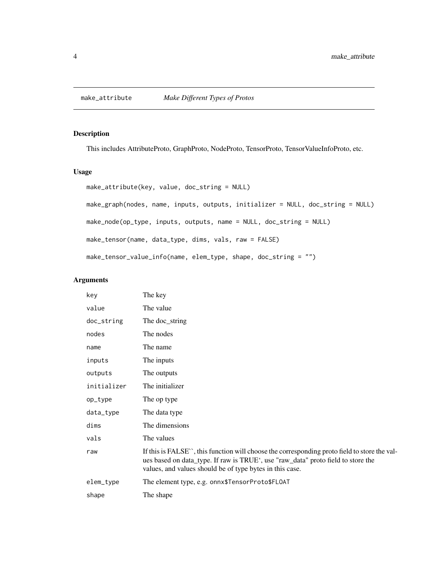#### <span id="page-3-0"></span>Description

This includes AttributeProto, GraphProto, NodeProto, TensorProto, TensorValueInfoProto, etc.

#### Usage

```
make_attribute(key, value, doc_string = NULL)
```
make\_graph(nodes, name, inputs, outputs, initializer = NULL, doc\_string = NULL)

```
make_node(op_type, inputs, outputs, name = NULL, doc_string = NULL)
```
make\_tensor(name, data\_type, dims, vals, raw = FALSE)

make\_tensor\_value\_info(name, elem\_type, shape, doc\_string = "")

#### Arguments

| The key                                                                                                                                                                                                                                      |
|----------------------------------------------------------------------------------------------------------------------------------------------------------------------------------------------------------------------------------------------|
| The value                                                                                                                                                                                                                                    |
| The doc_string                                                                                                                                                                                                                               |
| The nodes                                                                                                                                                                                                                                    |
| The name                                                                                                                                                                                                                                     |
| The inputs                                                                                                                                                                                                                                   |
| The outputs                                                                                                                                                                                                                                  |
| The initializer                                                                                                                                                                                                                              |
| The op type                                                                                                                                                                                                                                  |
| The data type                                                                                                                                                                                                                                |
| The dimensions                                                                                                                                                                                                                               |
| The values                                                                                                                                                                                                                                   |
| If this is FALSE", this function will choose the corresponding proto field to store the val-<br>ues based on data_type. If raw is TRUE', use "raw_data" proto field to store the<br>values, and values should be of type bytes in this case. |
| The element type, e.g. onnx\$TensorProto\$FLOAT                                                                                                                                                                                              |
| The shape                                                                                                                                                                                                                                    |
|                                                                                                                                                                                                                                              |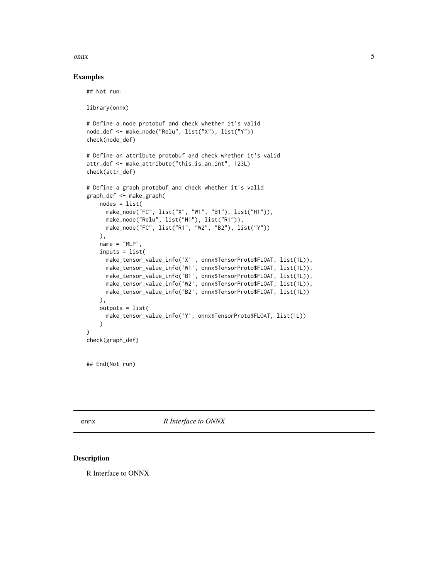#### <span id="page-4-0"></span> $\sum_{i=1}^{n}$

#### Examples

```
## Not run:
library(onnx)
# Define a node protobuf and check whether it's valid
node_def <- make_node("Relu", list("X"), list("Y"))
check(node_def)
# Define an attribute protobuf and check whether it's valid
attr_def <- make_attribute("this_is_an_int", 123L)
check(attr_def)
# Define a graph protobuf and check whether it's valid
graph_def <- make_graph(
   nodes = list(
      make_node("FC", list("X", "W1", "B1"), list("H1")),
     make_node("Relu", list("H1"), list("R1")),
     make_node("FC", list("R1", "W2", "B2"), list("Y"))
   ),
   name = "MLP",inputs = list(
     make_tensor_value_info('X' , onnx$TensorProto$FLOAT, list(1L)),
     make_tensor_value_info('W1', onnx$TensorProto$FLOAT, list(1L)),
     make_tensor_value_info('B1', onnx$TensorProto$FLOAT, list(1L)),
     make_tensor_value_info('W2', onnx$TensorProto$FLOAT, list(1L)),
     make_tensor_value_info('B2', onnx$TensorProto$FLOAT, list(1L))
    ),
    outputs = list(
      make_tensor_value_info('Y', onnx$TensorProto$FLOAT, list(1L))
    )
)
check(graph_def)
```
## End(Not run)

onnx *R Interface to ONNX*

#### Description

R Interface to ONNX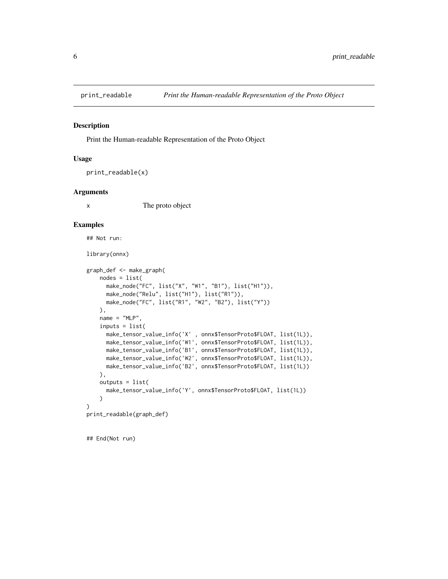<span id="page-5-0"></span>

#### Description

Print the Human-readable Representation of the Proto Object

#### Usage

```
print_readable(x)
```
#### Arguments

x The proto object

#### Examples

```
## Not run:
```
library(onnx)

```
graph_def <- make_graph(
   nodes = list(
     make_node("FC", list("X", "W1", "B1"), list("H1")),
     make_node("Relu", list("H1"), list("R1")),
     make_node("FC", list("R1", "W2", "B2"), list("Y"))
   ),
   name = "MLP",inputs = list(
     make_tensor_value_info('X' , onnx$TensorProto$FLOAT, list(1L)),
     make_tensor_value_info('W1', onnx$TensorProto$FLOAT, list(1L)),
      make_tensor_value_info('B1', onnx$TensorProto$FLOAT, list(1L)),
      make_tensor_value_info('W2', onnx$TensorProto$FLOAT, list(1L)),
      make_tensor_value_info('B2', onnx$TensorProto$FLOAT, list(1L))
   ),
   outputs = list(
     make_tensor_value_info('Y', onnx$TensorProto$FLOAT, list(1L))
    )
)
print_readable(graph_def)
```
## End(Not run)